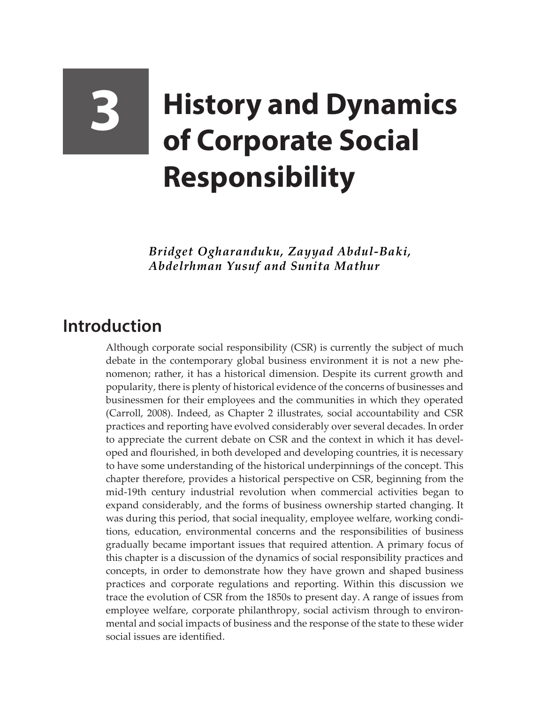## **3 History and Dynamics of Corporate Social Responsibility**

*Bridget Ogharanduku, Zayyad Abdul-Baki, Abdelrhman Yusuf and Sunita Mathur*

## **Introduction**

Although corporate social responsibility (CSR) is currently the subject of much debate in the contemporary global business environment it is not a new phenomenon; rather, it has a historical dimension. Despite its current growth and popularity, there is plenty of historical evidence of the concerns of businesses and businessmen for their employees and the communities in which they operated (Carroll, 2008). Indeed, as Chapter 2 illustrates, social accountability and CSR practices and reporting have evolved considerably over several decades. In order to appreciate the current debate on CSR and the context in which it has developed and flourished, in both developed and developing countries, it is necessary to have some understanding of the historical underpinnings of the concept. This chapter therefore, provides a historical perspective on CSR, beginning from the mid-19th century industrial revolution when commercial activities began to expand considerably, and the forms of business ownership started changing. It was during this period, that social inequality, employee welfare, working conditions, education, environmental concerns and the responsibilities of business gradually became important issues that required attention. A primary focus of this chapter is a discussion of the dynamics of social responsibility practices and concepts, in order to demonstrate how they have grown and shaped business practices and corporate regulations and reporting. Within this discussion we trace the evolution of CSR from the 1850s to present day. A range of issues from employee welfare, corporate philanthropy, social activism through to environmental and social impacts of business and the response of the state to these wider social issues are identified.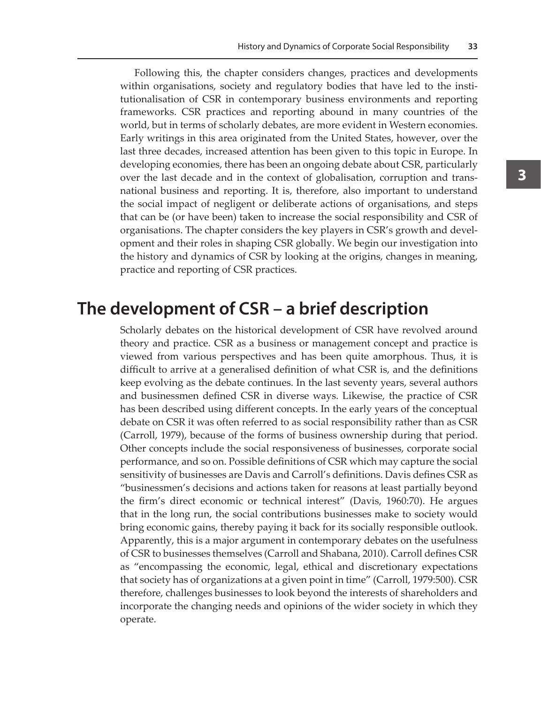Following this, the chapter considers changes, practices and developments within organisations, society and regulatory bodies that have led to the institutionalisation of CSR in contemporary business environments and reporting frameworks. CSR practices and reporting abound in many countries of the world, but in terms of scholarly debates, are more evident in Western economies. Early writings in this area originated from the United States, however, over the last three decades, increased attention has been given to this topic in Europe. In developing economies, there has been an ongoing debate about CSR, particularly over the last decade and in the context of globalisation, corruption and transnational business and reporting. It is, therefore, also important to understand the social impact of negligent or deliberate actions of organisations, and steps that can be (or have been) taken to increase the social responsibility and CSR of organisations. The chapter considers the key players in CSR's growth and development and their roles in shaping CSR globally. We begin our investigation into the history and dynamics of CSR by looking at the origins, changes in meaning, practice and reporting of CSR practices.

## **The development of CSR – a brief description**

Scholarly debates on the historical development of CSR have revolved around theory and practice. CSR as a business or management concept and practice is viewed from various perspectives and has been quite amorphous. Thus, it is difficult to arrive at a generalised definition of what CSR is, and the definitions keep evolving as the debate continues. In the last seventy years, several authors and businessmen defined CSR in diverse ways. Likewise, the practice of CSR has been described using different concepts. In the early years of the conceptual debate on CSR it was often referred to as social responsibility rather than as CSR (Carroll, 1979), because of the forms of business ownership during that period. Other concepts include the social responsiveness of businesses, corporate social performance, and so on. Possible definitions of CSR which may capture the social sensitivity of businesses are Davis and Carroll's definitions. Davis defines CSR as "businessmen's decisions and actions taken for reasons at least partially beyond the firm's direct economic or technical interest" (Davis, 1960:70). He argues that in the long run, the social contributions businesses make to society would bring economic gains, thereby paying it back for its socially responsible outlook. Apparently, this is a major argument in contemporary debates on the usefulness of CSR to businesses themselves (Carroll and Shabana, 2010). Carroll defines CSR as "encompassing the economic, legal, ethical and discretionary expectations that society has of organizations at a given point in time" (Carroll, 1979:500). CSR therefore, challenges businesses to look beyond the interests of shareholders and incorporate the changing needs and opinions of the wider society in which they operate.